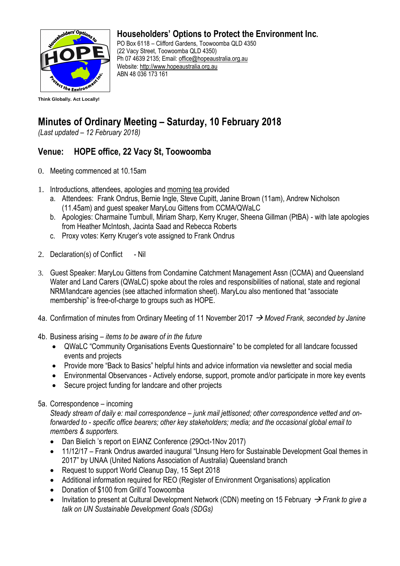

**Householders' Options to Protect the Environment Inc.**

PO Box 6118 – Clifford Gardens, Toowoomba QLD 4350 (22 Vacy Street, Toowoomba QLD 4350) Ph 07 4639 2135; Email: [office@hopeaustralia.org.au](mailto:office@hopeaustralia.org.au)  Website: [http://www.hopeaustralia.org.au](http://www.hopeaustralia.org.au/) ABN 48 036 173 161

# **Minutes of Ordinary Meeting – Saturday, 10 February 2018**

*(Last updated – 12 February 2018)*

## **Venue: HOPE office, 22 Vacy St, Toowoomba**

- 0. Meeting commenced at 10.15am
- 1. Introductions, attendees, apologies and morning tea provided
	- a. Attendees: Frank Ondrus, Bernie Ingle, Steve Cupitt, Janine Brown (11am), Andrew Nicholson (11.45am) and guest speaker MaryLou Gittens from CCMA/QWaLC
	- b. Apologies: Charmaine Turnbull, Miriam Sharp, Kerry Kruger, Sheena Gillman (PtBA) with late apologies from Heather McIntosh, Jacinta Saad and Rebecca Roberts
	- c. Proxy votes: Kerry Kruger's vote assigned to Frank Ondrus
- 2. Declaration(s) of Conflict Nil
- 3. Guest Speaker: MaryLou Gittens from Condamine Catchment Management Assn (CCMA) and Queensland Water and Land Carers (QWaLC) spoke about the roles and responsibilities of national, state and regional NRM/landcare agencies (see attached information sheet). MaryLou also mentioned that "associate membership" is free-of-charge to groups such as HOPE.
- 4a. Confirmation of minutes from Ordinary Meeting of 11 November 2017 → *Moved Frank, seconded by Janine*
- 4b. Business arising *items to be aware of in the future*
	- QWaLC "Community Organisations Events Questionnaire" to be completed for all landcare focussed events and projects
	- Provide more "Back to Basics" helpful hints and advice information via newsletter and social media
	- Environmental Observances Actively endorse, support, promote and/or participate in more key events
	- Secure project funding for landcare and other projects

### 5a. Correspondence – incoming

*Steady stream of daily e: mail correspondence – junk mail jettisoned; other correspondence vetted and onforwarded to - specific office bearers; other key stakeholders; media; and the occasional global email to members & supporters.* 

- Dan Bielich 's report on EIANZ Conference (29Oct-1Nov 2017)
- 11/12/17 Frank Ondrus awarded inaugural "Unsung Hero for Sustainable Development Goal themes in 2017" by UNAA (United Nations Association of Australia) Queensland branch
- Request to support World Cleanup Day, 15 Sept 2018
- Additional information required for REO (Register of Environment Organisations) application
- Donation of \$100 from Grill'd Toowoomba
- Invitation to present at Cultural Development Network (CDN) meeting on 15 February → *Frank to give a talk on UN Sustainable Development Goals (SDGs)*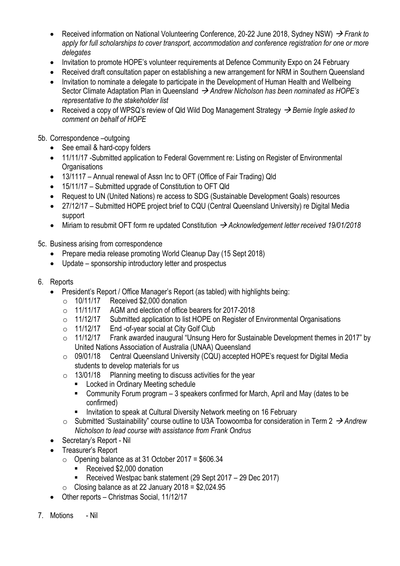- Received information on National Volunteering Conference, 20-22 June 2018, Sydney NSW) → *Frank to apply for full scholarships to cover transport, accommodation and conference registration for one or more delegates*
- Invitation to promote HOPE's volunteer requirements at Defence Community Expo on 24 February
- Received draft consultation paper on establishing a new arrangement for NRM in Southern Queensland
- Invitation to nominate a delegate to participate in the Development of Human Health and Wellbeing Sector Climate Adaptation Plan in Queensland → *Andrew Nicholson has been nominated as HOPE's representative to the stakeholder list*
- Received a copy of WPSQ's review of Qld Wild Dog Management Strategy → *Bernie Ingle asked to comment on behalf of HOPE*

#### 5b. Correspondence –outgoing

- See email & hard-copy folders
- 11/11/17 -Submitted application to Federal Government re: Listing on Register of Environmental **Organisations**
- 13/1117 Annual renewal of Assn Inc to OFT (Office of Fair Trading) Qld
- 15/11/17 Submitted upgrade of Constitution to OFT Qld
- Request to UN (United Nations) re access to SDG (Sustainable Development Goals) resources
- 27/12/17 Submitted HOPE project brief to CQU (Central Queensland University) re Digital Media support
- Miriam to resubmit OFT form re updated Constitution → *Acknowledgement letter received 19/01/2018*

#### 5c. Business arising from correspondence

- Prepare media release promoting World Cleanup Day (15 Sept 2018)
- Update sponsorship introductory letter and prospectus

#### 6. Reports

- President's Report / Office Manager's Report (as tabled) with highlights being:
	- $\circ$  10/11/17 Received \$2,000 donation
	- o 11/11/17 AGM and election of office bearers for 2017-2018
	- $\circ$  11/12/17 Submitted application to list HOPE on Register of Environmental Organisations  $\circ$  11/12/17 End -of-year social at City Golf Club
	- End -of-year social at City Golf Club
	- o 11/12/17 Frank awarded inaugural "Unsung Hero for Sustainable Development themes in 2017" by United Nations Association of Australia (UNAA) Queensland
	- o 09/01/18 Central Queensland University (CQU) accepted HOPE's request for Digital Media students to develop materials for us
	- $\circ$  13/01/18 Planning meeting to discuss activities for the year
		- Locked in Ordinary Meeting schedule
		- Community Forum program 3 speakers confirmed for March, April and May (dates to be confirmed)
		- Invitation to speak at Cultural Diversity Network meeting on 16 February
	- o Submitted 'Sustainability" course outline to U3A Toowoomba for consideration in Term 2 → *Andrew Nicholson to lead course with assistance from Frank Ondrus*
- Secretary's Report Nil
- Treasurer's Report
	- $\circ$  Opening balance as at 31 October 2017 = \$606.34
		- Received \$2,000 donation
		- Received Westpac bank statement (29 Sept 2017 29 Dec 2017)
	- $\circ$  Closing balance as at 22 January 2018 = \$2,024.95
- Other reports Christmas Social, 11/12/17
- 7. Motions Nil